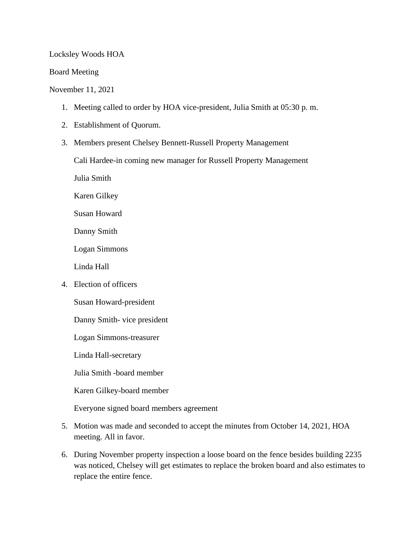## Locksley Woods HOA

## Board Meeting

## November 11, 2021

- 1. Meeting called to order by HOA vice-president, Julia Smith at 05:30 p. m.
- 2. Establishment of Quorum.
- 3. Members present Chelsey Bennett-Russell Property Management

Cali Hardee-in coming new manager for Russell Property Management

Julia Smith

Karen Gilkey

Susan Howard

Danny Smith

Logan Simmons

Linda Hall

4. Election of officers

Susan Howard-president

Danny Smith- vice president

Logan Simmons-treasurer

Linda Hall-secretary

Julia Smith -board member

Karen Gilkey-board member

Everyone signed board members agreement

- 5. Motion was made and seconded to accept the minutes from October 14, 2021, HOA meeting. All in favor.
- 6. During November property inspection a loose board on the fence besides building 2235 was noticed, Chelsey will get estimates to replace the broken board and also estimates to replace the entire fence.